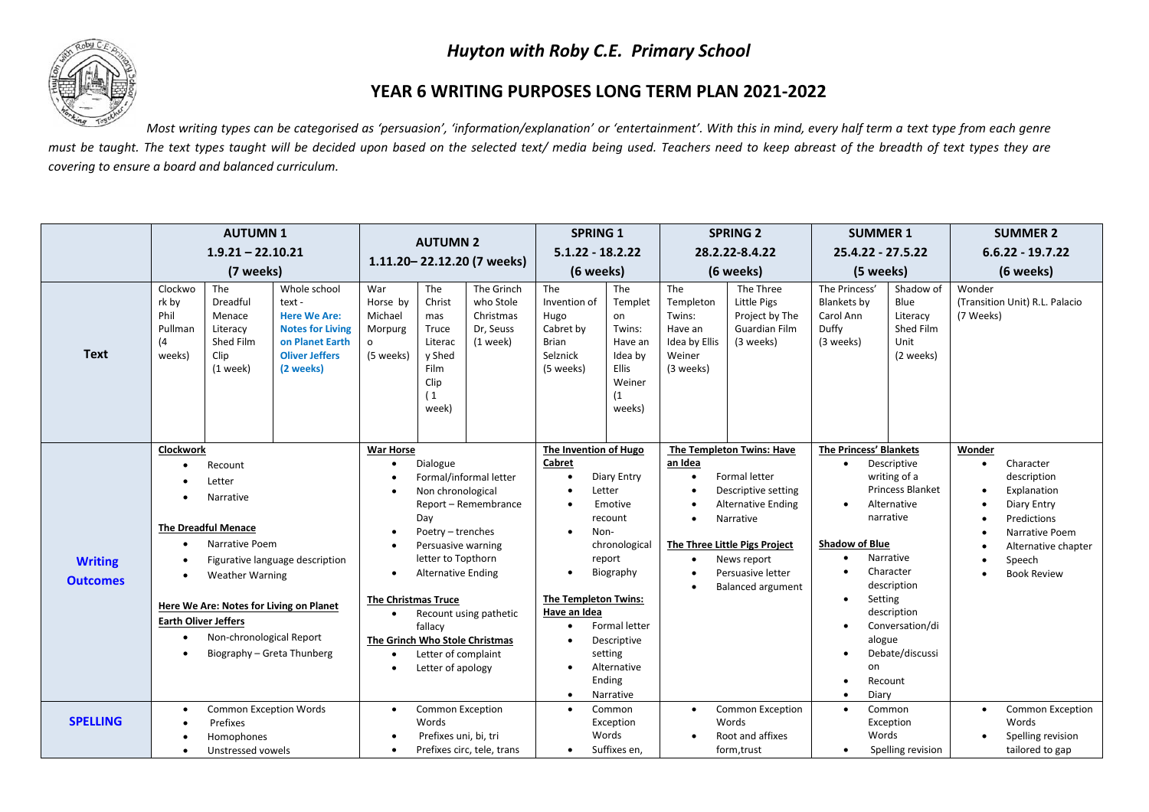## *Huyton with Roby C.E. Primary School*



## **YEAR 6 WRITING PURPOSES LONG TERM PLAN 2021-2022**

*Most writing types can be categorised as 'persuasion', 'information/explanation' or 'entertainment'. With this in mind, every half term a text type from each genre* must be taught. The text types taught will be decided upon based on the selected text/ media being used. Teachers need to keep abreast of the breadth of text types they are *covering to ensure a board and balanced curriculum.* 

|                                   | <b>AUTUMN1</b><br>$1.9.21 - 22.10.21$<br>(7 weeks)                                                                                                                                                                                                                                                                          |                                                                              |                                                                                                                                                                                                                                                                                                                                                                        | <b>AUTUMN 2</b><br>1.11.20 - 22.12.20 (7 weeks)               |                                                                                                                                                                                                                                                      |                                                                    | <b>SPRING 1</b><br>$5.1.22 - 18.2.22$<br>(6 weeks)                                                                                                                                                                                                             |                                                                                                 | <b>SPRING 2</b><br>28.2.22-8.4.22<br>(6 weeks)                                                                                                                                                                                                                              |                                                                          | <b>SUMMER 1</b><br>25.4.22 - 27.5.22<br>(5 weeks)                      |                                                                                                                                                | <b>SUMMER 2</b>     |                                                                   |
|-----------------------------------|-----------------------------------------------------------------------------------------------------------------------------------------------------------------------------------------------------------------------------------------------------------------------------------------------------------------------------|------------------------------------------------------------------------------|------------------------------------------------------------------------------------------------------------------------------------------------------------------------------------------------------------------------------------------------------------------------------------------------------------------------------------------------------------------------|---------------------------------------------------------------|------------------------------------------------------------------------------------------------------------------------------------------------------------------------------------------------------------------------------------------------------|--------------------------------------------------------------------|----------------------------------------------------------------------------------------------------------------------------------------------------------------------------------------------------------------------------------------------------------------|-------------------------------------------------------------------------------------------------|-----------------------------------------------------------------------------------------------------------------------------------------------------------------------------------------------------------------------------------------------------------------------------|--------------------------------------------------------------------------|------------------------------------------------------------------------|------------------------------------------------------------------------------------------------------------------------------------------------|---------------------|-------------------------------------------------------------------|
|                                   |                                                                                                                                                                                                                                                                                                                             |                                                                              |                                                                                                                                                                                                                                                                                                                                                                        |                                                               |                                                                                                                                                                                                                                                      |                                                                    |                                                                                                                                                                                                                                                                |                                                                                                 |                                                                                                                                                                                                                                                                             |                                                                          |                                                                        |                                                                                                                                                | $6.6.22 - 19.7.22$  |                                                                   |
|                                   |                                                                                                                                                                                                                                                                                                                             |                                                                              |                                                                                                                                                                                                                                                                                                                                                                        |                                                               |                                                                                                                                                                                                                                                      |                                                                    |                                                                                                                                                                                                                                                                |                                                                                                 |                                                                                                                                                                                                                                                                             |                                                                          |                                                                        |                                                                                                                                                | (6 weeks)           |                                                                   |
| <b>Text</b>                       | Clockwo<br>rk by<br>Phil<br>Pullman<br>(4)<br>weeks)                                                                                                                                                                                                                                                                        | The<br>Dreadful<br>Menace<br>Literacy<br>Shed Film<br>Clip<br>$(1$ week)     | Whole school<br>text -<br><b>Here We Are:</b><br><b>Notes for Living</b><br>on Planet Earth<br><b>Oliver Jeffers</b><br>(2 weeks)                                                                                                                                                                                                                                      | War<br>Horse by<br>Michael<br>Morpurg<br>$\circ$<br>(5 weeks) | The<br>Christ<br>mas<br>Truce<br>Literac<br>v Shed<br>Film<br>Clip<br>(1)<br>week)                                                                                                                                                                   | The Grinch<br>who Stole<br>Christmas<br>Dr, Seuss<br>$(1$ week $)$ | The<br>Invention of<br>Hugo<br>Cabret by<br><b>Brian</b><br>Selznick<br>(5 weeks)                                                                                                                                                                              | The<br>Templet<br>on<br>Twins:<br>Have an<br>Idea by<br><b>Ellis</b><br>Weiner<br>(1)<br>weeks) | The<br>Templeton<br>Twins:<br>Have an<br>Idea by Ellis<br>Weiner<br>(3 weeks)                                                                                                                                                                                               | The Three<br>Little Pigs<br>Project by The<br>Guardian Film<br>(3 weeks) | The Princess'<br><b>Blankets by</b><br>Carol Ann<br>Duffy<br>(3 weeks) | Shadow of<br>Blue<br>Literacy<br>Shed Film<br>Unit<br>(2 weeks)                                                                                | Wonder<br>(7 Weeks) | (Transition Unit) R.L. Palacio                                    |
| <b>Writing</b><br><b>Outcomes</b> | Clockwork<br>Recount<br>Letter<br>Narrative<br><b>The Dreadful Menace</b><br>Narrative Poem<br>$\bullet$<br>Figurative language description<br><b>Weather Warning</b><br>٠<br>Here We Are: Notes for Living on Planet<br><b>Earth Oliver Jeffers</b><br>Non-chronological Report<br>$\bullet$<br>Biography - Greta Thunberg |                                                                              | <b>War Horse</b><br>Dialogue<br>$\bullet$<br>Formal/informal letter<br>Non chronological<br>Report - Remembrance<br>Dav<br>Poetry - trenches<br>Persuasive warning<br>letter to Topthorn<br><b>Alternative Ending</b><br><b>The Christmas Truce</b><br>Recount using pathetic<br>fallacy<br>The Grinch Who Stole Christmas<br>Letter of complaint<br>Letter of apology |                                                               | The Invention of Hugo<br>Cabret<br>Diary Entry<br>$\bullet$<br>Letter<br>Emotive<br>recount<br>Non-<br>chronological<br>report<br>Biography<br>The Templeton Twins:<br>Have an Idea<br><b>Formal letter</b><br>Descriptive<br>setting<br>Alternative |                                                                    | The Templeton Twins: Have<br>an Idea<br>Formal letter<br>$\bullet$<br>Descriptive setting<br><b>Alternative Ending</b><br>Narrative<br>$\bullet$<br>The Three Little Pigs Project<br>News report<br>$\bullet$<br>Persuasive letter<br><b>Balanced argument</b> |                                                                                                 | The Princess' Blankets<br>Descriptive<br>writing of a<br><b>Princess Blanket</b><br>Alternative<br>$\bullet$<br>narrative<br><b>Shadow of Blue</b><br>Narrative<br>Character<br>description<br>Setting<br>description<br>Conversation/di<br>alogue<br>Debate/discussi<br>on |                                                                          | Wonder<br>$\bullet$<br>$\bullet$<br>$\bullet$<br>$\bullet$             | Character<br>description<br>Explanation<br>Diary Entry<br>Predictions<br>Narrative Poem<br>Alternative chapter<br>Speech<br><b>Book Review</b> |                     |                                                                   |
|                                   |                                                                                                                                                                                                                                                                                                                             |                                                                              |                                                                                                                                                                                                                                                                                                                                                                        |                                                               |                                                                                                                                                                                                                                                      |                                                                    | $\bullet$                                                                                                                                                                                                                                                      | Ending<br>Narrative                                                                             |                                                                                                                                                                                                                                                                             |                                                                          | Diary<br>$\bullet$                                                     | Recount                                                                                                                                        |                     |                                                                   |
| <b>SPELLING</b>                   | $\bullet$<br>$\bullet$                                                                                                                                                                                                                                                                                                      | <b>Common Exception Words</b><br>Prefixes<br>Homophones<br>Unstressed vowels |                                                                                                                                                                                                                                                                                                                                                                        | $\bullet$                                                     | <b>Common Exception</b><br>Words<br>Prefixes uni, bi, tri                                                                                                                                                                                            | Prefixes circ, tele, trans                                         | $\bullet$<br>$\bullet$                                                                                                                                                                                                                                         | Common<br>Exception<br>Words<br>Suffixes en,                                                    | $\bullet$                                                                                                                                                                                                                                                                   | <b>Common Exception</b><br>Words<br>Root and affixes<br>form, trust      | $\bullet$<br>Words<br>$\bullet$                                        | Common<br>Exception<br>Spelling revision                                                                                                       | $\bullet$           | Common Exception<br>Words<br>Spelling revision<br>tailored to gap |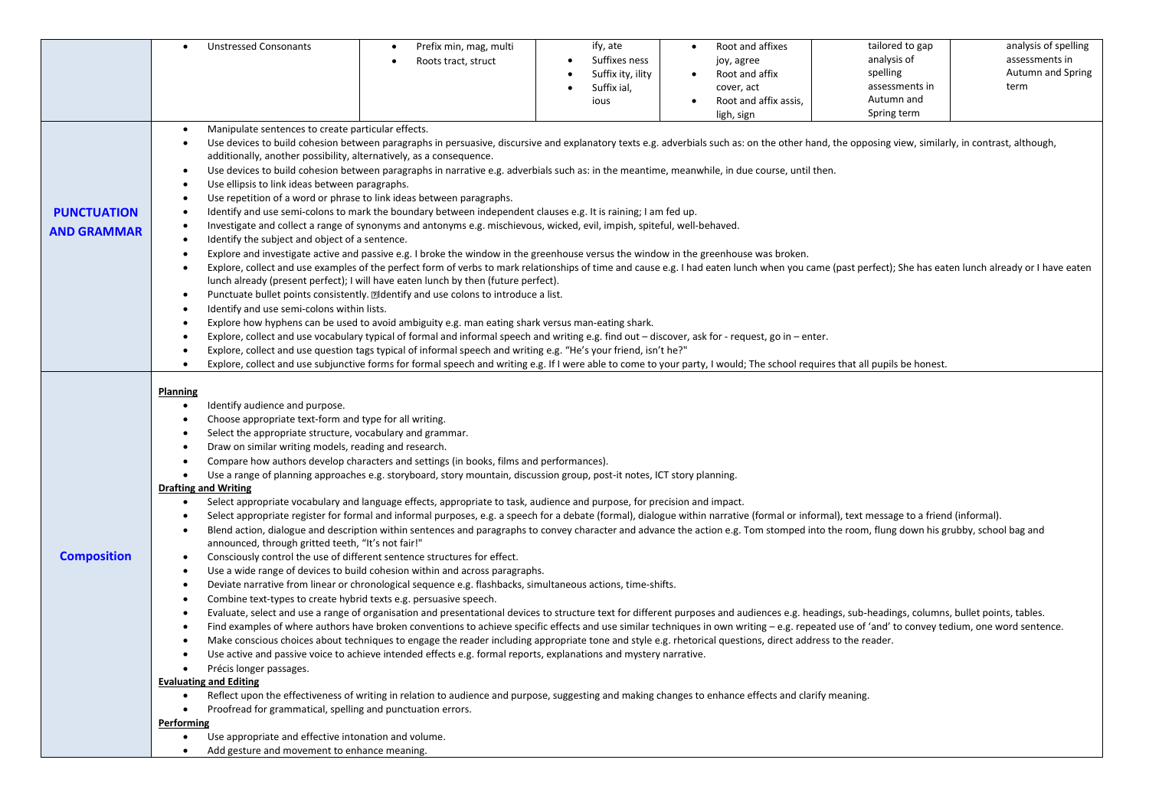|                    | <b>Unstressed Consonants</b><br>$\bullet$                                                                                                                                                                                                                                                                                                                                                                                                                                                                                                                                                                                                                                                                                  | Prefix min, mag, multi<br>٠                                                                                                                                                                                                                                                                                                                                                                                                                                                                                                                                                                                                                                                                                                                                                                                                                                                                                                                                                                                                                                                                                                                                                                                                                                                                                                                                                                                                                                                                                                                                                                                                                                                                                                                                                                                                                                     | ify, ate          | Root and affixes                   | tailored to gap | analysis of spelling |  |  |  |  |  |  |
|--------------------|----------------------------------------------------------------------------------------------------------------------------------------------------------------------------------------------------------------------------------------------------------------------------------------------------------------------------------------------------------------------------------------------------------------------------------------------------------------------------------------------------------------------------------------------------------------------------------------------------------------------------------------------------------------------------------------------------------------------------|-----------------------------------------------------------------------------------------------------------------------------------------------------------------------------------------------------------------------------------------------------------------------------------------------------------------------------------------------------------------------------------------------------------------------------------------------------------------------------------------------------------------------------------------------------------------------------------------------------------------------------------------------------------------------------------------------------------------------------------------------------------------------------------------------------------------------------------------------------------------------------------------------------------------------------------------------------------------------------------------------------------------------------------------------------------------------------------------------------------------------------------------------------------------------------------------------------------------------------------------------------------------------------------------------------------------------------------------------------------------------------------------------------------------------------------------------------------------------------------------------------------------------------------------------------------------------------------------------------------------------------------------------------------------------------------------------------------------------------------------------------------------------------------------------------------------------------------------------------------------|-------------------|------------------------------------|-----------------|----------------------|--|--|--|--|--|--|
|                    |                                                                                                                                                                                                                                                                                                                                                                                                                                                                                                                                                                                                                                                                                                                            | Roots tract, struct<br>٠                                                                                                                                                                                                                                                                                                                                                                                                                                                                                                                                                                                                                                                                                                                                                                                                                                                                                                                                                                                                                                                                                                                                                                                                                                                                                                                                                                                                                                                                                                                                                                                                                                                                                                                                                                                                                                        | Suffixes ness     | joy, agree                         | analysis of     | assessments in       |  |  |  |  |  |  |
|                    |                                                                                                                                                                                                                                                                                                                                                                                                                                                                                                                                                                                                                                                                                                                            |                                                                                                                                                                                                                                                                                                                                                                                                                                                                                                                                                                                                                                                                                                                                                                                                                                                                                                                                                                                                                                                                                                                                                                                                                                                                                                                                                                                                                                                                                                                                                                                                                                                                                                                                                                                                                                                                 | Suffix ity, ility | Root and affix                     | spelling        | Autumn and Spring    |  |  |  |  |  |  |
|                    |                                                                                                                                                                                                                                                                                                                                                                                                                                                                                                                                                                                                                                                                                                                            |                                                                                                                                                                                                                                                                                                                                                                                                                                                                                                                                                                                                                                                                                                                                                                                                                                                                                                                                                                                                                                                                                                                                                                                                                                                                                                                                                                                                                                                                                                                                                                                                                                                                                                                                                                                                                                                                 | Suffix ial,       | cover, act                         | assessments in  | term                 |  |  |  |  |  |  |
|                    |                                                                                                                                                                                                                                                                                                                                                                                                                                                                                                                                                                                                                                                                                                                            |                                                                                                                                                                                                                                                                                                                                                                                                                                                                                                                                                                                                                                                                                                                                                                                                                                                                                                                                                                                                                                                                                                                                                                                                                                                                                                                                                                                                                                                                                                                                                                                                                                                                                                                                                                                                                                                                 | ious              | Root and affix assis,<br>$\bullet$ | Autumn and      |                      |  |  |  |  |  |  |
|                    |                                                                                                                                                                                                                                                                                                                                                                                                                                                                                                                                                                                                                                                                                                                            |                                                                                                                                                                                                                                                                                                                                                                                                                                                                                                                                                                                                                                                                                                                                                                                                                                                                                                                                                                                                                                                                                                                                                                                                                                                                                                                                                                                                                                                                                                                                                                                                                                                                                                                                                                                                                                                                 |                   | ligh, sign                         | Spring term     |                      |  |  |  |  |  |  |
|                    | Manipulate sentences to create particular effects.<br>$\bullet$                                                                                                                                                                                                                                                                                                                                                                                                                                                                                                                                                                                                                                                            |                                                                                                                                                                                                                                                                                                                                                                                                                                                                                                                                                                                                                                                                                                                                                                                                                                                                                                                                                                                                                                                                                                                                                                                                                                                                                                                                                                                                                                                                                                                                                                                                                                                                                                                                                                                                                                                                 |                   |                                    |                 |                      |  |  |  |  |  |  |
|                    | Use devices to build cohesion between paragraphs in persuasive, discursive and explanatory texts e.g. adverbials such as: on the other hand, the opposing view, similarly, in contrast, although,<br>$\bullet$                                                                                                                                                                                                                                                                                                                                                                                                                                                                                                             |                                                                                                                                                                                                                                                                                                                                                                                                                                                                                                                                                                                                                                                                                                                                                                                                                                                                                                                                                                                                                                                                                                                                                                                                                                                                                                                                                                                                                                                                                                                                                                                                                                                                                                                                                                                                                                                                 |                   |                                    |                 |                      |  |  |  |  |  |  |
|                    | additionally, another possibility, alternatively, as a consequence.                                                                                                                                                                                                                                                                                                                                                                                                                                                                                                                                                                                                                                                        |                                                                                                                                                                                                                                                                                                                                                                                                                                                                                                                                                                                                                                                                                                                                                                                                                                                                                                                                                                                                                                                                                                                                                                                                                                                                                                                                                                                                                                                                                                                                                                                                                                                                                                                                                                                                                                                                 |                   |                                    |                 |                      |  |  |  |  |  |  |
|                    | Use devices to build cohesion between paragraphs in narrative e.g. adverbials such as: in the meantime, meanwhile, in due course, until then.<br>$\bullet$                                                                                                                                                                                                                                                                                                                                                                                                                                                                                                                                                                 |                                                                                                                                                                                                                                                                                                                                                                                                                                                                                                                                                                                                                                                                                                                                                                                                                                                                                                                                                                                                                                                                                                                                                                                                                                                                                                                                                                                                                                                                                                                                                                                                                                                                                                                                                                                                                                                                 |                   |                                    |                 |                      |  |  |  |  |  |  |
|                    | Use ellipsis to link ideas between paragraphs.<br>$\bullet$                                                                                                                                                                                                                                                                                                                                                                                                                                                                                                                                                                                                                                                                |                                                                                                                                                                                                                                                                                                                                                                                                                                                                                                                                                                                                                                                                                                                                                                                                                                                                                                                                                                                                                                                                                                                                                                                                                                                                                                                                                                                                                                                                                                                                                                                                                                                                                                                                                                                                                                                                 |                   |                                    |                 |                      |  |  |  |  |  |  |
|                    | $\bullet$                                                                                                                                                                                                                                                                                                                                                                                                                                                                                                                                                                                                                                                                                                                  | Use repetition of a word or phrase to link ideas between paragraphs.                                                                                                                                                                                                                                                                                                                                                                                                                                                                                                                                                                                                                                                                                                                                                                                                                                                                                                                                                                                                                                                                                                                                                                                                                                                                                                                                                                                                                                                                                                                                                                                                                                                                                                                                                                                            |                   |                                    |                 |                      |  |  |  |  |  |  |
| <b>PUNCTUATION</b> | $\bullet$                                                                                                                                                                                                                                                                                                                                                                                                                                                                                                                                                                                                                                                                                                                  | Identify and use semi-colons to mark the boundary between independent clauses e.g. It is raining; I am fed up.                                                                                                                                                                                                                                                                                                                                                                                                                                                                                                                                                                                                                                                                                                                                                                                                                                                                                                                                                                                                                                                                                                                                                                                                                                                                                                                                                                                                                                                                                                                                                                                                                                                                                                                                                  |                   |                                    |                 |                      |  |  |  |  |  |  |
| <b>AND GRAMMAR</b> |                                                                                                                                                                                                                                                                                                                                                                                                                                                                                                                                                                                                                                                                                                                            | Investigate and collect a range of synonyms and antonyms e.g. mischievous, wicked, evil, impish, spiteful, well-behaved.<br>$\bullet$                                                                                                                                                                                                                                                                                                                                                                                                                                                                                                                                                                                                                                                                                                                                                                                                                                                                                                                                                                                                                                                                                                                                                                                                                                                                                                                                                                                                                                                                                                                                                                                                                                                                                                                           |                   |                                    |                 |                      |  |  |  |  |  |  |
|                    | Identify the subject and object of a sentence.<br>$\bullet$<br>Explore and investigate active and passive e.g. I broke the window in the greenhouse versus the window in the greenhouse was broken.<br>$\bullet$<br>Explore, collect and use examples of the perfect form of verbs to mark relationships of time and cause e.g. I had eaten lunch when you came (past perfect); She has eaten lunch already or I have eaten<br>lunch already (present perfect); I will have eaten lunch by then (future perfect).                                                                                                                                                                                                          |                                                                                                                                                                                                                                                                                                                                                                                                                                                                                                                                                                                                                                                                                                                                                                                                                                                                                                                                                                                                                                                                                                                                                                                                                                                                                                                                                                                                                                                                                                                                                                                                                                                                                                                                                                                                                                                                 |                   |                                    |                 |                      |  |  |  |  |  |  |
|                    |                                                                                                                                                                                                                                                                                                                                                                                                                                                                                                                                                                                                                                                                                                                            |                                                                                                                                                                                                                                                                                                                                                                                                                                                                                                                                                                                                                                                                                                                                                                                                                                                                                                                                                                                                                                                                                                                                                                                                                                                                                                                                                                                                                                                                                                                                                                                                                                                                                                                                                                                                                                                                 |                   |                                    |                 |                      |  |  |  |  |  |  |
|                    |                                                                                                                                                                                                                                                                                                                                                                                                                                                                                                                                                                                                                                                                                                                            |                                                                                                                                                                                                                                                                                                                                                                                                                                                                                                                                                                                                                                                                                                                                                                                                                                                                                                                                                                                                                                                                                                                                                                                                                                                                                                                                                                                                                                                                                                                                                                                                                                                                                                                                                                                                                                                                 |                   |                                    |                 |                      |  |  |  |  |  |  |
|                    | Punctuate bullet points consistently. <b>Eldentify</b> and use colons to introduce a list.<br>$\bullet$<br>Identify and use semi-colons within lists.<br>$\bullet$                                                                                                                                                                                                                                                                                                                                                                                                                                                                                                                                                         |                                                                                                                                                                                                                                                                                                                                                                                                                                                                                                                                                                                                                                                                                                                                                                                                                                                                                                                                                                                                                                                                                                                                                                                                                                                                                                                                                                                                                                                                                                                                                                                                                                                                                                                                                                                                                                                                 |                   |                                    |                 |                      |  |  |  |  |  |  |
|                    |                                                                                                                                                                                                                                                                                                                                                                                                                                                                                                                                                                                                                                                                                                                            |                                                                                                                                                                                                                                                                                                                                                                                                                                                                                                                                                                                                                                                                                                                                                                                                                                                                                                                                                                                                                                                                                                                                                                                                                                                                                                                                                                                                                                                                                                                                                                                                                                                                                                                                                                                                                                                                 |                   |                                    |                 |                      |  |  |  |  |  |  |
|                    | Explore how hyphens can be used to avoid ambiguity e.g. man eating shark versus man-eating shark.                                                                                                                                                                                                                                                                                                                                                                                                                                                                                                                                                                                                                          |                                                                                                                                                                                                                                                                                                                                                                                                                                                                                                                                                                                                                                                                                                                                                                                                                                                                                                                                                                                                                                                                                                                                                                                                                                                                                                                                                                                                                                                                                                                                                                                                                                                                                                                                                                                                                                                                 |                   |                                    |                 |                      |  |  |  |  |  |  |
|                    | $\bullet$                                                                                                                                                                                                                                                                                                                                                                                                                                                                                                                                                                                                                                                                                                                  | Explore, collect and use vocabulary typical of formal and informal speech and writing e.g. find out - discover, ask for - request, go in - enter.<br>Explore, collect and use question tags typical of informal speech and writing e.g. "He's your friend, isn't he?"<br>$\bullet$                                                                                                                                                                                                                                                                                                                                                                                                                                                                                                                                                                                                                                                                                                                                                                                                                                                                                                                                                                                                                                                                                                                                                                                                                                                                                                                                                                                                                                                                                                                                                                              |                   |                                    |                 |                      |  |  |  |  |  |  |
|                    |                                                                                                                                                                                                                                                                                                                                                                                                                                                                                                                                                                                                                                                                                                                            |                                                                                                                                                                                                                                                                                                                                                                                                                                                                                                                                                                                                                                                                                                                                                                                                                                                                                                                                                                                                                                                                                                                                                                                                                                                                                                                                                                                                                                                                                                                                                                                                                                                                                                                                                                                                                                                                 |                   |                                    |                 |                      |  |  |  |  |  |  |
|                    |                                                                                                                                                                                                                                                                                                                                                                                                                                                                                                                                                                                                                                                                                                                            | Explore, collect and use subjunctive forms for formal speech and writing e.g. If I were able to come to your party, I would; The school requires that all pupils be honest.                                                                                                                                                                                                                                                                                                                                                                                                                                                                                                                                                                                                                                                                                                                                                                                                                                                                                                                                                                                                                                                                                                                                                                                                                                                                                                                                                                                                                                                                                                                                                                                                                                                                                     |                   |                                    |                 |                      |  |  |  |  |  |  |
| <b>Composition</b> | <b>Planning</b><br>Identify audience and purpose.<br>$\bullet$<br>Choose appropriate text-form and type for all writing.<br>Select the appropriate structure, vocabulary and grammar.<br>$\bullet$<br>Draw on similar writing models, reading and research.<br>$\bullet$<br>$\bullet$<br><b>Drafting and Writing</b><br>$\bullet$<br>$\bullet$<br>$\bullet$<br>announced, through gritted teeth, "It's not fair!"<br>$\bullet$<br>$\bullet$<br>$\bullet$<br>Combine text-types to create hybrid texts e.g. persuasive speech.<br>$\bullet$<br>$\bullet$<br>$\bullet$<br>Précis longer passages.<br><b>Evaluating and Editing</b><br>$\bullet$<br>Proofread for grammatical, spelling and punctuation errors.<br>Performing | Compare how authors develop characters and settings (in books, films and performances).<br>Use a range of planning approaches e.g. storyboard, story mountain, discussion group, post-it notes, ICT story planning.<br>Select appropriate vocabulary and language effects, appropriate to task, audience and purpose, for precision and impact.<br>Select appropriate register for formal and informal purposes, e.g. a speech for a debate (formal), dialogue within narrative (formal or informal), text message to a friend (informal).<br>Blend action, dialogue and description within sentences and paragraphs to convey character and advance the action e.g. Tom stomped into the room, flung down his grubby, school bag and<br>Consciously control the use of different sentence structures for effect.<br>Use a wide range of devices to build cohesion within and across paragraphs.<br>Deviate narrative from linear or chronological sequence e.g. flashbacks, simultaneous actions, time-shifts.<br>Evaluate, select and use a range of organisation and presentational devices to structure text for different purposes and audiences e.g. headings, sub-headings, columns, bullet points, tables.<br>Find examples of where authors have broken conventions to achieve specific effects and use similar techniques in own writing - e.g. repeated use of 'and' to convey tedium, one word sentence.<br>Make conscious choices about techniques to engage the reader including appropriate tone and style e.g. rhetorical questions, direct address to the reader.<br>Use active and passive voice to achieve intended effects e.g. formal reports, explanations and mystery narrative.<br>Reflect upon the effectiveness of writing in relation to audience and purpose, suggesting and making changes to enhance effects and clarify meaning. |                   |                                    |                 |                      |  |  |  |  |  |  |
|                    | $\bullet$                                                                                                                                                                                                                                                                                                                                                                                                                                                                                                                                                                                                                                                                                                                  | Use appropriate and effective intonation and volume.                                                                                                                                                                                                                                                                                                                                                                                                                                                                                                                                                                                                                                                                                                                                                                                                                                                                                                                                                                                                                                                                                                                                                                                                                                                                                                                                                                                                                                                                                                                                                                                                                                                                                                                                                                                                            |                   |                                    |                 |                      |  |  |  |  |  |  |
|                    | Add gesture and movement to enhance meaning.<br>$\bullet$                                                                                                                                                                                                                                                                                                                                                                                                                                                                                                                                                                                                                                                                  |                                                                                                                                                                                                                                                                                                                                                                                                                                                                                                                                                                                                                                                                                                                                                                                                                                                                                                                                                                                                                                                                                                                                                                                                                                                                                                                                                                                                                                                                                                                                                                                                                                                                                                                                                                                                                                                                 |                   |                                    |                 |                      |  |  |  |  |  |  |